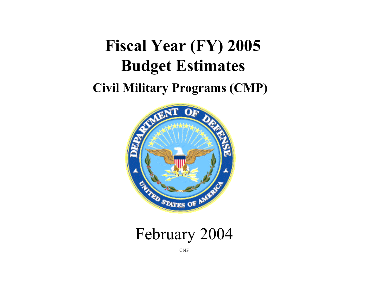# **Fiscal Year (FY) 2005 Budget Estimates**

# **Civil Military Programs (CMP)**



# February 2004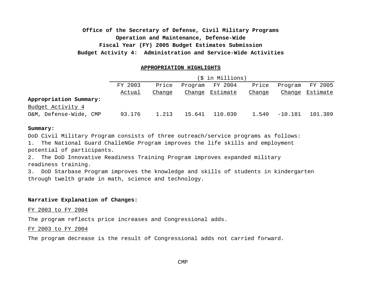# **Operation and Maintenance, Defense-Wide Fiscal Year (FY) 2005 Budget Estimates Submission Budget Activity 4: Administration and Service-Wide Activities Office of the Secretary of Defense, Civil Military Programs**

#### **APPROPRIATION HIGHLIGHTS**

|                        | (\$ in Millions) |        |        |                 |        |           |          |
|------------------------|------------------|--------|--------|-----------------|--------|-----------|----------|
|                        | FY 2003          | Price  |        | Program FY 2004 | Price  | Program   | FY 2005  |
|                        | Actual           | Change |        | Change Estimate | Change | Change    | Estimate |
| Appropriation Summary: |                  |        |        |                 |        |           |          |
| Budget Activity 4      |                  |        |        |                 |        |           |          |
| O&M, Defense-Wide, CMP | 93.176           | 1.213  | 15.641 | 110.030         | 1.540  | $-10.181$ | 101.389  |

#### **Summary:**

DoD Civil Military Program consists of three outreach/service programs as follows:

1. The National Guard ChalleNGe Program improves the life skills and employment potential of participants.

2. The DoD Innovative Readiness Training Program improves expanded military readiness training.

3. DoD Starbase Program improves the knowledge and skills of students in kindergarten through twelth grade in math, science and technology.

#### **Narrative Explanation of Changes:**

FY 2003 to FY 2004

The program reflects price increases and Congressional adds.

#### FY 2003 to FY 2004

The program decrease is the result of Congressional adds not carried forward.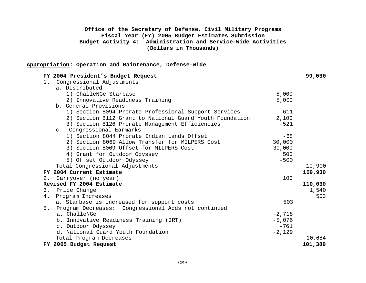# **Office of the Secretary of Defense, Civil Military Programs Fiscal Year (FY) 2005 Budget Estimates Submission Budget Activity 4: Administration and Service-Wide Activities (Dollars in Thousands)**

#### **Appropriation: Operation and Maintenance, Defense-Wide**

| FY 2004 President's Budget Request                        |           | 99,030    |
|-----------------------------------------------------------|-----------|-----------|
| Congressional Adjustments<br>1.                           |           |           |
| a. Distributed                                            |           |           |
| 1) ChalleNGe Starbase                                     | 5,000     |           |
| 2) Innovative Readiness Training                          | 5,000     |           |
| b. General Provisions                                     |           |           |
| 1) Section 8094 Prorate Professional Support Services     | $-611$    |           |
| 2) Section 8112 Grant to National Guard Youth Foundation  | 2,100     |           |
| 3) Section 8126 Prorate Management Efficiencies           | $-521$    |           |
| c. Congressional Earmarks                                 |           |           |
| 1) Section 8044 Prorate Indian Lands Offset               | $-68$     |           |
| 2) Section 8069 Allow Transfer for MILPERS Cost           | 30,000    |           |
| 3) Section 8069 Offset for MILPERS Cost                   | $-30,000$ |           |
| 4) Grant for Outdoor Odyssey                              | 500       |           |
| 5) Offset Outdoor Odyssey                                 | $-500$    |           |
| Total Congressional Adjustments                           |           | 10,900    |
| FY 2004 Current Estimate                                  |           | 109,930   |
| Carryover (no year)<br>2.                                 | 100       |           |
| Revised FY 2004 Estimate                                  |           | 110,030   |
| Price Change<br>3.                                        |           | 1,540     |
| Program Increases<br>4.                                   |           | 503       |
| a. Starbase is increased for support costs                | 503       |           |
| Program Decreases: Congressional Adds not continued<br>5. |           |           |
| a. ChalleNGe                                              | $-2,718$  |           |
| b. Innovative Readiness Training (IRT)                    | $-5,076$  |           |
| c. Outdoor Odyssey                                        | $-761$    |           |
| d. National Guard Youth Foundation                        | $-2,129$  |           |
| Total Program Decreases                                   |           | $-10,684$ |
| FY 2005 Budget Request                                    |           | 101,389   |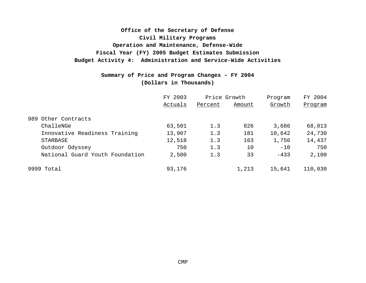# **Fiscal Year (FY) 2005 Budget Estimates Submission Budget Activity 4: Administration and Service-Wide Activities Office of the Secretary of Defense Operation and Maintenance, Defense-Wide Civil Military Programs**

# **Summary of Price and Program Changes - FY 2004 (Dollars in Thousands)**

|                                 | FY 2003 | Price Growth |        | Program | FY 2004 |  |
|---------------------------------|---------|--------------|--------|---------|---------|--|
|                                 | Actuals | Percent      | Amount | Growth  | Program |  |
| 989 Other Contracts             |         |              |        |         |         |  |
| ChalleNGe                       | 63,501  | 1.3          | 826    | 3,686   | 68,013  |  |
| Innovative Readiness Training   | 13,907  | 1.3          | 181    | 10,642  | 24,730  |  |
| STARBASE                        | 12,518  | 1.3          | 163    | 1,756   | 14,437  |  |
| Outdoor Odyssey                 | 750     | 1.3          | 10     | $-10$   | 750     |  |
| National Guard Youth Foundation | 2,500   | 1.3          | 33     | $-433$  | 2,100   |  |
| 9999 Total                      | 93,176  |              | 1,213  | 15,641  | 110,030 |  |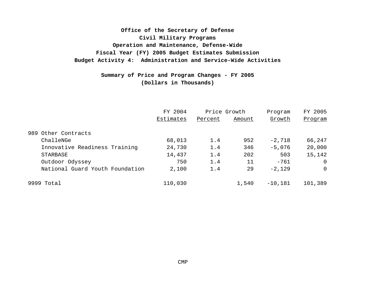**Fiscal Year (FY) 2005 Budget Estimates Submission Budget Activity 4: Administration and Service-Wide Activities Office of the Secretary of Defense Civil Military Programs Operation and Maintenance, Defense-Wide**

> **(Dollars in Thousands) Summary of Price and Program Changes - FY 2005**

|                                 | FY 2004   | Price Growth |        | Program   | FY 2005        |  |
|---------------------------------|-----------|--------------|--------|-----------|----------------|--|
|                                 | Estimates | Percent      | Amount | Growth    | Program        |  |
| 989 Other Contracts             |           |              |        |           |                |  |
| ChalleNGe                       | 68,013    | 1.4          | 952    | $-2,718$  | 66,247         |  |
| Innovative Readiness Training   | 24,730    | 1.4          | 346    | $-5,076$  | 20,000         |  |
| STARBASE                        | 14,437    | 1.4          | 202    | 503       | 15,142         |  |
| Outdoor Odyssey                 | 750       | 1.4          | 11     | $-761$    | $\Omega$       |  |
| National Guard Youth Foundation | 2,100     | 1.4          | 29     | $-2,129$  | $\overline{0}$ |  |
| 9999 Total                      | 110,030   |              | 1,540  | $-10,181$ | 101,389        |  |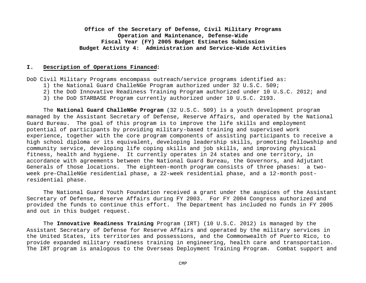#### **I. Description of Operations Financed:**

DoD Civil Military Programs encompass outreach/service programs identified as:

- 1) the National Guard ChalleNGe Program authorized under 32 U.S.C. 509;
- 2) the DoD Innovative Readiness Training Program authorized under 10 U.S.C. 2012; and
- 3) the DoD STARBASE Program currently authorized under 10 U.S.C. 2193.

The **National Guard ChalleNGe Program** (32 U.S.C. 509) is a youth development program managed by the Assistant Secretary of Defense, Reserve Affairs, and operated by the National Guard Bureau. The goal of this program is to improve the life skills and employment potential of participants by providing military-based training and supervised work experience, together with the core program components of assisting participants to receive a high school diploma or its equivalent, developing leadership skills, promoting fellowship and community service, developing life coping skills and job skills, and improving physical fitness, health and hygiene. It currently operates in 24 states and one territory, in accordance with agreements between the National Guard Bureau, the Governors, and Adjutant Generals of those locations. The eighteen-month program consists of three phases: a twoweek pre-ChalleNGe residential phase, a 22-week residential phase, and a 12-month postresidential phase.

The National Guard Youth Foundation received a grant under the auspices of the Assistant Secretary of Defense, Reserve Affairs during FY 2003. For FY 2004 Congress authorized and provided the funds to continue this effort. The Department has included no funds in FY 2005 and out in this budget request.

The **Innovative Readiness Training** Program (IRT) (10 U.S.C. 2012) is managed by the Assistant Secretary of Defense for Reserve Affairs and operated by the military services in the United States, its territories and possessions, and the Commonwealth of Puerto Rico, to provide expanded military readiness training in engineering, health care and transportation. The IRT program is analogous to the Overseas Deployment Training Program. Combat support and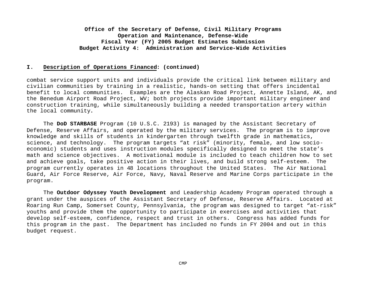#### **I. Description of Operations Financed: (continued)**

combat service support units and individuals provide the critical link between military and civilian communities by training in a realistic, hands-on setting that offers incidental benefit to local communities. Examples are the Alaskan Road Project, Annette Island, AK, and the Benedum Airport Road Project, WV; both projects provide important military engineer and construction training, while simultaneously building a needed transportation artery within the local community**.**

The **DoD STARBASE** Program (10 U.S.C. 2193) is managed by the Assistant Secretary of Defense, Reserve Affairs, and operated by the military services. The program is to improve knowledge and skills of students in kindergarten through twelfth grade in mathematics, science, and technology. The program targets "at risk" (minority, female, and low socioeconomic) students and uses instruction modules specifically designed to meet the state's math and science objectives. A motivational module is included to teach children how to set and achieve goals, take positive action in their lives, and build strong self-esteem. The program currently operates in 48 locations throughout the United States. The Air National Guard, Air Force Reserve, Air Force, Navy, Naval Reserve and Marine Corps participate in the program.

The **Outdoor Odyssey Youth Development** and Leadership Academy Program operated through a grant under the auspices of the Assistant Secretary of Defense, Reserve Affairs. Located at Roaring Run Camp, Somerset County, Pennsylvania, the program was designed to target "at-risk" youths and provide them the opportunity to participate in exercises and activities that develop self-esteem, confidence, respect and trust in others. Congress has added funds for this program in the past. The Department has included no funds in FY 2004 and out in this budget request.

CMP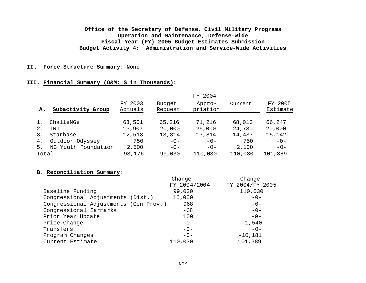#### **II. Force Structure Summary: None**

#### **III. Financial Summary (O&M: \$ in Thousands):**

|       |                     |                    |                   | FY 2004            |         |                     |
|-------|---------------------|--------------------|-------------------|--------------------|---------|---------------------|
| А.    | Subactivity Group   | FY 2003<br>Actuals | Budget<br>Request | Appro-<br>priation | Current | FY 2005<br>Estimate |
|       |                     |                    |                   |                    |         |                     |
| 1.    | ChalleNGe           | 63,501             | 65,216            | 71,216             | 68,013  | 66,247              |
| 2.    | IRT                 | 13,907             | 20,000            | 25,000             | 24,730  | 20,000              |
| 3.    | Starbase            | 12,518             | 13,814            | 13,814             | 14,437  | 15,142              |
| 4.    | Outdoor Odyssey     | 750                | $-0-$             | $-0-$              | 750     | $-0-$               |
| 5.    | NG Youth Foundation | 2,500              | $-0-$             | $-0-$              | 2,100   | $-0-$               |
| Total |                     | 93,176             | 99,030            | 110,030            | 110,030 | 101,389             |

#### **B. Reconciliation Summary:**

|                                       | Change       | Change          |
|---------------------------------------|--------------|-----------------|
|                                       | FY 2004/2004 | FY 2004/FY 2005 |
| Baseline Funding                      | 99,030       | 110,030         |
| Congressional Adjustments (Dist.)     | 10,000       | $-0-$           |
| Congressional Adjustments (Gen Prov.) | 968          | $-0-$           |
| Congressional Earmarks                | $-68$        | $-0-$           |
| Prior Year Update                     | 100          | $-0-$           |
| Price Change                          | $-0-$        | 1,540           |
| Transfers                             | $-0-$        | $-0-$           |
| Program Changes                       | $-0-$        | $-10,181$       |
| Current Estimate                      | 110,030      | 101,389         |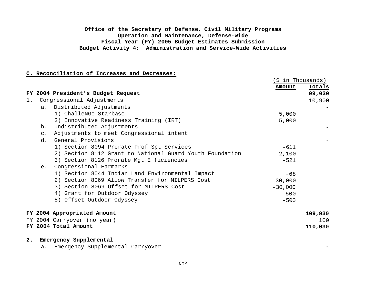#### **C. Reconciliation of Increases and Decreases:**

|    |           |                                                          | (\$ in Thousands) |         |
|----|-----------|----------------------------------------------------------|-------------------|---------|
|    |           |                                                          | Amount            | Totals  |
|    |           | FY 2004 President's Budget Request                       |                   | 99,030  |
| 1. |           | Congressional Adjustments                                |                   | 10,900  |
|    |           | a. Distributed Adjustments                               |                   |         |
|    |           | 1) ChalleNGe Starbase                                    | 5,000             |         |
|    |           | 2) Innovative Readiness Training (IRT)                   | 5,000             |         |
|    | b.        | Undistributed Adjustments                                |                   |         |
|    | $\circ$ . | Adjustments to meet Congressional intent                 |                   |         |
|    | d.        | General Provisions                                       |                   |         |
|    |           | 1) Section 8094 Prorate Prof Spt Services                | $-611$            |         |
|    |           | 2) Section 8112 Grant to National Guard Youth Foundation | 2,100             |         |
|    |           | 3) Section 8126 Prorate Mgt Efficiencies                 | $-521$            |         |
|    | e.        | Congressional Earmarks                                   |                   |         |
|    |           | 1) Section 8044 Indian Land Environmental Impact         | $-68$             |         |
|    |           | 2) Section 8069 Allow Transfer for MILPERS Cost          | 30,000            |         |
|    |           | 3) Section 8069 Offset for MILPERS Cost                  | $-30,000$         |         |
|    |           | 4) Grant for Outdoor Odyssey                             | 500               |         |
|    |           | 5) Offset Outdoor Odyssey                                | $-500$            |         |
|    |           | FY 2004 Appropriated Amount                              |                   | 109,930 |
|    |           | FY 2004 Carryover (no year)                              |                   | 100     |
|    |           | FY 2004 Total Amount                                     |                   | 110,030 |
| 2. |           | Emergency Supplemental                                   |                   |         |

a. Emergency Supplemental Carryover **-**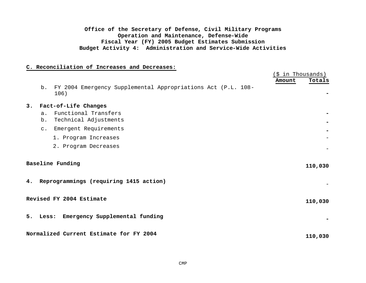#### **C. Reconciliation of Increases and Decreases:**

|    |             |                                                                      | (\$ in Thousands) |         |
|----|-------------|----------------------------------------------------------------------|-------------------|---------|
|    | b.          | FY 2004 Emergency Supplemental Appropriations Act (P.L. 108-<br>106) | Amount            | Totals  |
| 3. |             | Fact-of-Life Changes                                                 |                   |         |
|    | a.<br>$b$ . | Functional Transfers<br>Technical Adjustments                        |                   |         |
|    | $C$ .       | Emergent Requirements                                                |                   |         |
|    |             | 1. Program Increases                                                 |                   |         |
|    |             | 2. Program Decreases                                                 |                   |         |
|    |             | <b>Baseline Funding</b>                                              |                   | 110,030 |
|    |             | 4. Reprogrammings (requiring 1415 action)                            |                   |         |
|    |             | Revised FY 2004 Estimate                                             |                   | 110,030 |
| 5. |             | Less: Emergency Supplemental funding                                 |                   |         |
|    |             | Normalized Current Estimate for FY 2004                              |                   | 110,030 |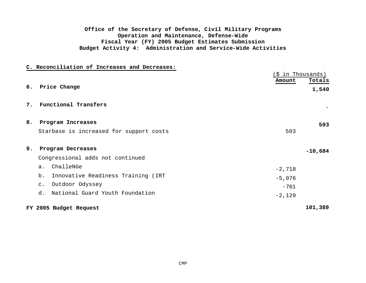#### **C. Reconciliation of Increases and Decreases:**

|    |                                          | (\$ in Thousands) |           |  |
|----|------------------------------------------|-------------------|-----------|--|
|    |                                          | Amount            | Totals    |  |
|    | 6. Price Change                          |                   | 1,540     |  |
| 7. | Functional Transfers                     |                   |           |  |
| 8. | Program Increases                        |                   | 503       |  |
|    | Starbase is increased for support costs  | 503               |           |  |
| 9. | Program Decreases                        |                   | $-10,684$ |  |
|    | Congressional adds not continued         |                   |           |  |
|    | ChalleNGe<br>a <sub>x</sub>              | $-2,718$          |           |  |
|    | Innovative Readiness Training (IRT<br>b. | $-5,076$          |           |  |
|    | Outdoor Odyssey<br>$\mathsf{C}$ .        | $-761$            |           |  |
|    | National Guard Youth Foundation<br>d.    | $-2,129$          |           |  |
|    | FY 2005 Budget Request                   |                   | 101,389   |  |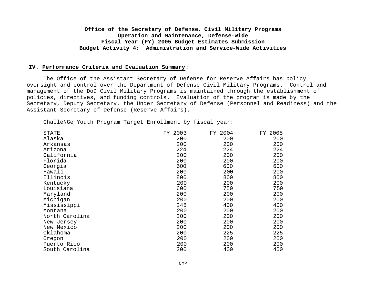#### **IV. Performance Criteria and Evaluation Summary:**

The Office of the Assistant Secretary of Defense for Reserve Affairs has policy oversight and control over the Department of Defense Civil Military Programs. Control and management of the DoD Civil Military Programs is maintained through the establishment of policies, directives, and funding controls. Evaluation of the program is made by the Secretary, Deputy Secretary, the Under Secretary of Defense (Personnel and Readiness) and the Assistant Secretary of Defense (Reserve Affairs).

|  |  |  |  | ChalleNGe Youth Program Target Enrollment by fiscal year: |  |  |  |
|--|--|--|--|-----------------------------------------------------------|--|--|--|
|--|--|--|--|-----------------------------------------------------------|--|--|--|

| STATE<br>Alaska | 2003<br>FY<br>200 | FY 2004<br>200 | FY 2005<br>200 |
|-----------------|-------------------|----------------|----------------|
| Arkansas        | 200               | 200            | 200            |
| Arizona         | 224               | 224            | 224            |
| California      | 200               | 200            | 200            |
| Florida         | 200               | 200            | 200            |
| Georgia         | 600               | 600            | 600            |
| Hawaii          | 200               | 200            | 200            |
| Illinois        | 800               | 800            | 800            |
| Kentucky        | 200               | 200            | 200            |
| Louisiana       | 600               | 750            | 750            |
| Maryland        | 200               | 200            | 200            |
| Michigan        | 200               | 200            | 200            |
| Mississippi     | 248               | 400            | 400            |
| Montana         | 200               | 200            | 200            |
| North Carolina  | 200               | 200            | 200            |
| New Jersey      | 200               | 200            | 200            |
| New Mexico      | 200               | 200            | 200            |
| Oklahoma        | 200               | 225            | 225            |
| Oregon          | 200               | 200            | 200            |
| Puerto Rico     | 200               | 200            | 200            |
| South Carolina  | 200               | 400            | 400            |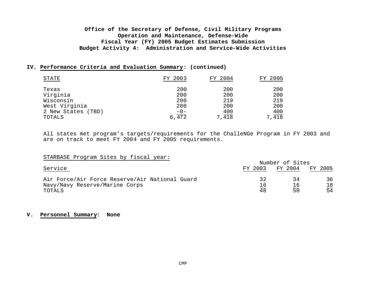#### **IV. Performance Criteria and Evaluation Summary: (continued)**

| <b>STATE</b>       | FY 2003            | FY 2004 | FY 2005              |
|--------------------|--------------------|---------|----------------------|
| Texas              | 200                | 200     | 200                  |
| Virginia           | 200                | 200     | 200                  |
| Wisconsin          | 200                | 219     | 219                  |
| West Virginia      | 200                | 200     | 200                  |
| 2 New States (TBD) |                    | 400     |                      |
| TOTALS             | $\frac{-0}{6,472}$ | 7,418   | $7, \frac{400}{418}$ |

All states met program's targets/requirements for the ChalleNGe Program in FY 2003 and are on track to meet FY 2004 and FY 2005 requirements.

#### STARBASE Program Sites by fiscal year:

|                                                | Number of Sites  |         |         |  |  |
|------------------------------------------------|------------------|---------|---------|--|--|
| Service                                        | FY 2003          | FY 2004 | FY 2005 |  |  |
| Air Force/Air Force Reserve/Air National Guard | つつ               | 34      | 36      |  |  |
| Navy/Navy Reserve/Marine Corps                 | $\underline{16}$ | 16      | 18      |  |  |
| TOTALS                                         | $\overline{48}$  | 50      | 54      |  |  |

#### **V. Personnel Summary: None**